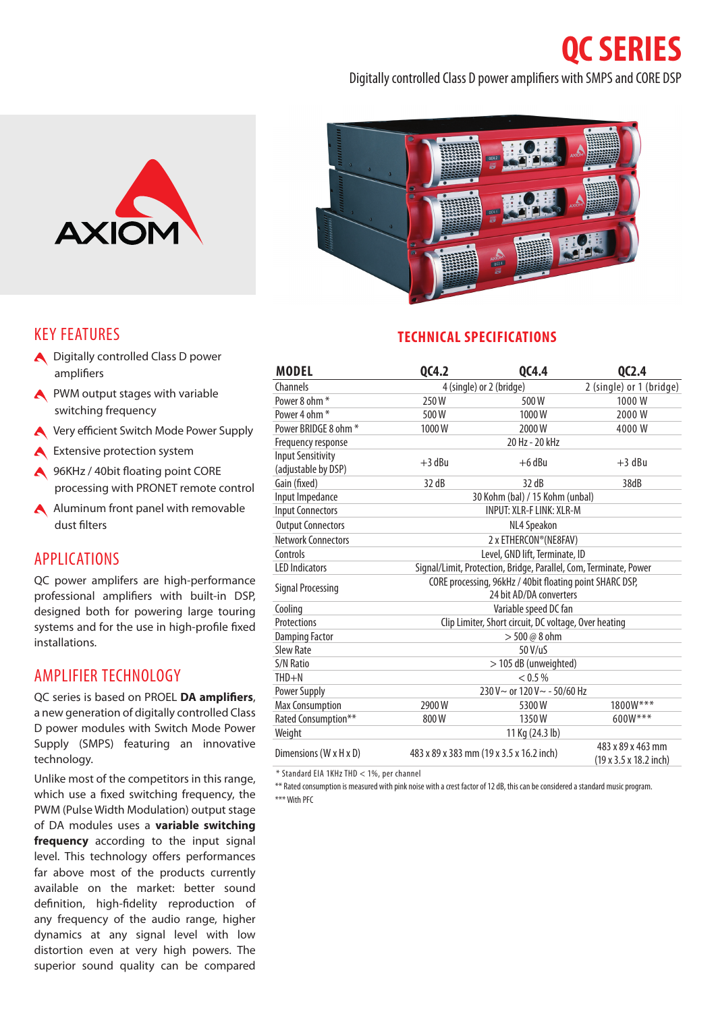**QC SERIES**

#### KEY FEATURES

- A Digitally controlled Class D power amplifiers
- **A** PWM output stages with variable switching frequency
- Very efficient Switch Mode Power Supply
- **A** Extensive protection system
- **A** 96KHz / 40bit floating point CORE processing with PRONET remote control
- A Aluminum front panel with removable dust filters

#### APPLICATIONS

QC power amplifers are high-performance professional amplifiers with built-in DSP, designed both for powering large touring systems and for the use in high-profile fixed installations.

### AMPLIFIER TECHNOLOGY

QC series is based on PROEL **DA amplifiers**, a new generation of digitally controlled Class D power modules with Switch Mode Power Supply (SMPS) featuring an innovative technology.

Unlike most of the competitors in this range, which use a fixed switching frequency, the PWM (Pulse Width Modulation) output stage of DA modules uses a **variable switching frequency** according to the input signal level. This technology offers performances far above most of the products currently available on the market: better sound definition, high-fidelity reproduction of any frequency of the audio range, higher dynamics at any signal level with low distortion even at very high powers. The superior sound quality can be compared



Digitally controlled Class D power amplifiers with SMPS and CORE DSP

## **TECHNICAL SPECIFICATIONS**

| <b>MODEL</b>                                    | QC4.2                                                                               | QC4.4                    | QC2.4                                       |
|-------------------------------------------------|-------------------------------------------------------------------------------------|--------------------------|---------------------------------------------|
| Channels                                        |                                                                                     | 4 (single) or 2 (bridge) |                                             |
| Power 8 ohm <sup>*</sup>                        | 250W                                                                                | 500W                     | 1000W                                       |
| Power 4 ohm *                                   | 500W                                                                                | 1000W                    | 2000W                                       |
| Power BRIDGE 8 ohm *                            | 1000W                                                                               | 2000W                    | 4000W                                       |
| Frequency response                              | 20 Hz - 20 kHz                                                                      |                          |                                             |
| <b>Input Sensitivity</b><br>(adjustable by DSP) | $+3$ dBu                                                                            | $+6$ dBu                 | $+3$ dBu                                    |
| Gain (fixed)                                    | 32 dB                                                                               | 32 dB                    | 38dB                                        |
| Input Impedance                                 | 30 Kohm (bal) / 15 Kohm (unbal)                                                     |                          |                                             |
| <b>Input Connectors</b>                         | <b>INPUT: XLR-F LINK: XLR-M</b>                                                     |                          |                                             |
| <b>Output Connectors</b>                        | NL4 Speakon                                                                         |                          |                                             |
| <b>Network Connectors</b>                       | 2 x ETHERCON® (NE8FAV)                                                              |                          |                                             |
| Controls                                        | Level, GND lift, Terminate, ID                                                      |                          |                                             |
| <b>LED Indicators</b>                           | Signal/Limit, Protection, Bridge, Parallel, Com, Terminate, Power                   |                          |                                             |
| <b>Signal Processing</b>                        | CORE processing, 96kHz / 40bit floating point SHARC DSP,<br>24 bit AD/DA converters |                          |                                             |
|                                                 |                                                                                     |                          |                                             |
| Cooling<br>Protections                          | Variable speed DC fan                                                               |                          |                                             |
|                                                 | Clip Limiter, Short circuit, DC voltage, Over heating                               |                          |                                             |
| <b>Damping Factor</b>                           | $> 500 @ 8$ ohm<br>50 V/uS                                                          |                          |                                             |
| Slew Rate                                       |                                                                                     |                          |                                             |
| S/N Ratio                                       | > 105 dB (unweighted)                                                               |                          |                                             |
| $THD + N$                                       | < 0.5 %                                                                             |                          |                                             |
| Power Supply                                    | 230 V ~ or 120 V ~ - 50/60 Hz                                                       |                          |                                             |
| <b>Max Consumption</b>                          | 2900W                                                                               | 5300W                    | 1800W***                                    |
| Rated Consumption**                             | 800W                                                                                | 1350W                    | 600W***                                     |
| Weight                                          | 11 Kg (24.3 lb)                                                                     |                          |                                             |
| Dimensions (W x H x D)                          | 483 x 89 x 383 mm (19 x 3.5 x 16.2 inch)                                            |                          | 483 x 89 x 463 mm<br>(19 x 3.5 x 18.2 inch) |

\* Standard EIA 1KHz THD < 1%, per channel

\*\* Rated consumption is measured with pink noise with a crest factor of 12 dB, this can be considered a standard music program. \*\*\* With PFC